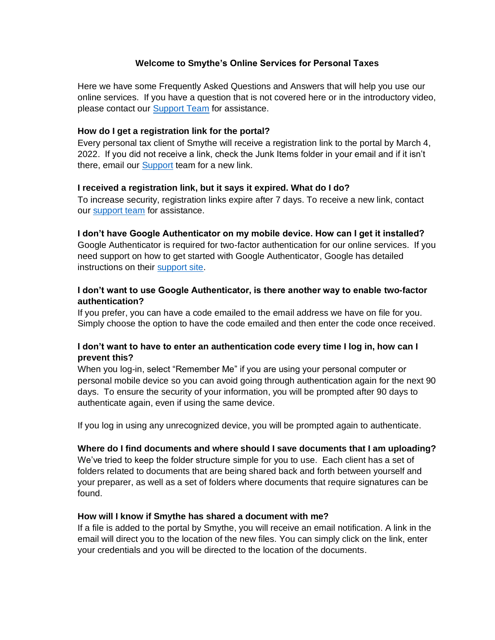## **Welcome to Smythe's Online Services for Personal Taxes**

Here we have some Frequently Asked Questions and Answers that will help you use our online services. If you have a question that is not covered here or in the introductory video, please contact our [Support Team](mailto:portaladmin@smythecpa.com) for assistance.

### **How do I get a registration link for the portal?**

Every personal tax client of Smythe will receive a registration link to the portal by March 4, 2022. If you did not receive a link, check the Junk Items folder in your email and if it isn't there, email our [Support](mailto:portaladmin@smythecpa.com) team for a new link.

#### **I received a registration link, but it says it expired. What do I do?**

To increase security, registration links expire after 7 days. To receive a new link, contact our [support team](mailto:portaladmin@smythecpa.com) for assistance.

#### **I don't have Google Authenticator on my mobile device. How can I get it installed?**

Google Authenticator is required for two-factor authentication for our online services. If you need support on how to get started with Google Authenticator, Google has detailed instructions on their [support site.](https://support.google.com/accounts/answer/1066447)

## **I don't want to use Google Authenticator, is there another way to enable two-factor authentication?**

If you prefer, you can have a code emailed to the email address we have on file for you. Simply choose the option to have the code emailed and then enter the code once received.

# **I don't want to have to enter an authentication code every time I log in, how can I prevent this?**

When you log-in, select "Remember Me" if you are using your personal computer or personal mobile device so you can avoid going through authentication again for the next 90 days. To ensure the security of your information, you will be prompted after 90 days to authenticate again, even if using the same device.

If you log in using any unrecognized device, you will be prompted again to authenticate.

## **Where do I find documents and where should I save documents that I am uploading?**

We've tried to keep the folder structure simple for you to use. Each client has a set of folders related to documents that are being shared back and forth between yourself and your preparer, as well as a set of folders where documents that require signatures can be found.

#### **How will I know if Smythe has shared a document with me?**

If a file is added to the portal by Smythe, you will receive an email notification. A link in the email will direct you to the location of the new files. You can simply click on the link, enter your credentials and you will be directed to the location of the documents.